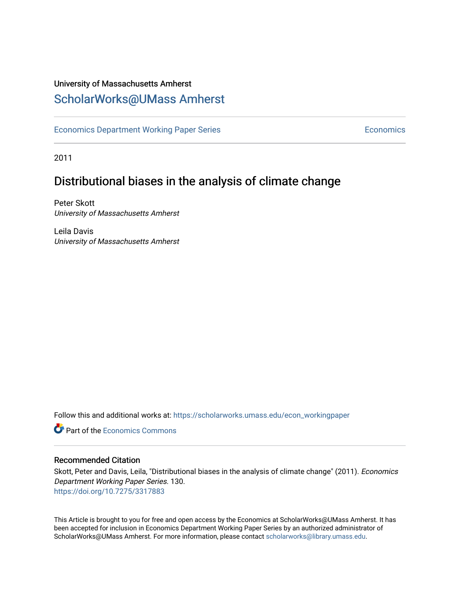## University of Massachusetts Amherst [ScholarWorks@UMass Amherst](https://scholarworks.umass.edu/)

[Economics Department Working Paper Series](https://scholarworks.umass.edu/econ_workingpaper) **Economics** Economics

2011

## Distributional biases in the analysis of climate change

Peter Skott University of Massachusetts Amherst

Leila Davis University of Massachusetts Amherst

Follow this and additional works at: [https://scholarworks.umass.edu/econ\\_workingpaper](https://scholarworks.umass.edu/econ_workingpaper?utm_source=scholarworks.umass.edu%2Fecon_workingpaper%2F130&utm_medium=PDF&utm_campaign=PDFCoverPages) 

**C** Part of the [Economics Commons](http://network.bepress.com/hgg/discipline/340?utm_source=scholarworks.umass.edu%2Fecon_workingpaper%2F130&utm_medium=PDF&utm_campaign=PDFCoverPages)

## Recommended Citation

Skott, Peter and Davis, Leila, "Distributional biases in the analysis of climate change" (2011). Economics Department Working Paper Series. 130. <https://doi.org/10.7275/3317883>

This Article is brought to you for free and open access by the Economics at ScholarWorks@UMass Amherst. It has been accepted for inclusion in Economics Department Working Paper Series by an authorized administrator of ScholarWorks@UMass Amherst. For more information, please contact [scholarworks@library.umass.edu.](mailto:scholarworks@library.umass.edu)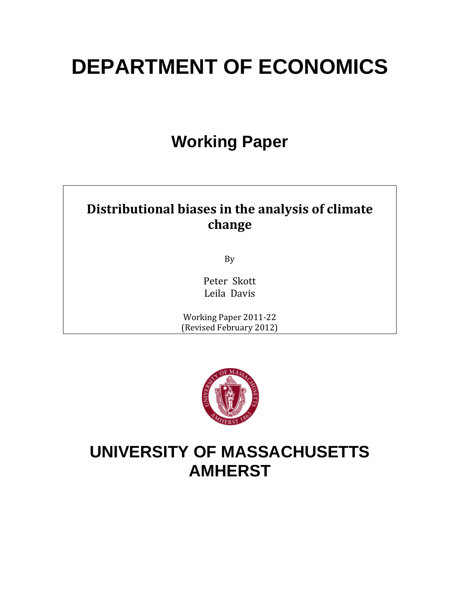# **DEPARTMENT OF ECONOMICS**

## **Working Paper**

## **Distributional biases in the analysis of climate change**

By 

Peter Skott Leila Davis 

Working Paper 2011-22 (Revised February 2012) 



## **UNIVERSITY OF MASSACHUSETTS AMHERST**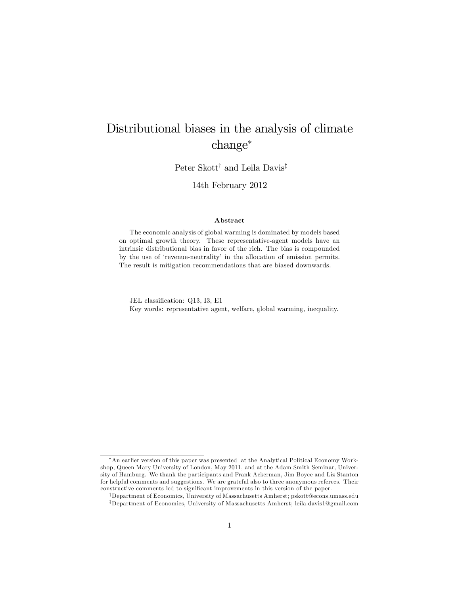## Distributional biases in the analysis of climate change

Peter Skott<sup>†</sup> and Leila Davis<sup>‡</sup>

14th February 2012

#### Abstract

The economic analysis of global warming is dominated by models based on optimal growth theory. These representative-agent models have an intrinsic distributional bias in favor of the rich. The bias is compounded by the use of 'revenue-neutrality' in the allocation of emission permits. The result is mitigation recommendations that are biased downwards.

JEL classification: Q13, I3, E1 Key words: representative agent, welfare, global warming, inequality.

An earlier version of this paper was presented at the Analytical Political Economy Workshop, Queen Mary University of London, May 2011, and at the Adam Smith Seminar, University of Hamburg. We thank the participants and Frank Ackerman, Jim Boyce and Liz Stanton for helpful comments and suggestions. We are grateful also to three anonymous referees. Their constructive comments led to significant improvements in this version of the paper.

<sup>&</sup>lt;sup>†</sup>Department of Economics, University of Massachusetts Amherst; pskott@econs.umass.edu

zDepartment of Economics, University of Massachusetts Amherst; leila.davis1@gmail.com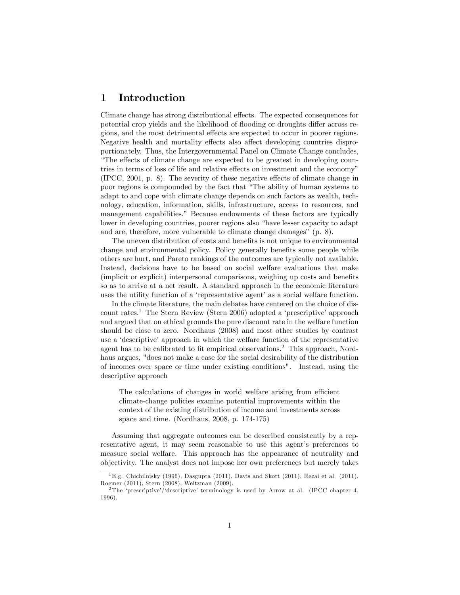## 1 Introduction

Climate change has strong distributional effects. The expected consequences for potential crop yields and the likelihood of flooding or droughts differ across regions, and the most detrimental effects are expected to occur in poorer regions. Negative health and mortality effects also affect developing countries disproportionately. Thus, the Intergovernmental Panel on Climate Change concludes, ìThe e§ects of climate change are expected to be greatest in developing countries in terms of loss of life and relative effects on investment and the economy" (IPCC,  $2001$ , p. 8). The severity of these negative effects of climate change in poor regions is compounded by the fact that "The ability of human systems to adapt to and cope with climate change depends on such factors as wealth, technology, education, information, skills, infrastructure, access to resources, and management capabilities." Because endowments of these factors are typically lower in developing countries, poorer regions also "have lesser capacity to adapt and are, therefore, more vulnerable to climate change damages"  $(p, 8)$ .

The uneven distribution of costs and benefits is not unique to environmental change and environmental policy. Policy generally benefits some people while others are hurt, and Pareto rankings of the outcomes are typically not available. Instead, decisions have to be based on social welfare evaluations that make (implicit or explicit) interpersonal comparisons, weighing up costs and benefits so as to arrive at a net result. A standard approach in the economic literature uses the utility function of a 'representative agent' as a social welfare function.

In the climate literature, the main debates have centered on the choice of discount rates.<sup>1</sup> The Stern Review (Stern 2006) adopted a 'prescriptive' approach and argued that on ethical grounds the pure discount rate in the welfare function should be close to zero. Nordhaus (2008) and most other studies by contrast use a 'descriptive' approach in which the welfare function of the representative agent has to be calibrated to fit empirical observations.<sup>2</sup> This approach, Nordhaus argues, "does not make a case for the social desirability of the distribution of incomes over space or time under existing conditions". Instead, using the descriptive approach

The calculations of changes in world welfare arising from efficient climate-change policies examine potential improvements within the context of the existing distribution of income and investments across space and time. (Nordhaus, 2008, p. 174-175)

Assuming that aggregate outcomes can be described consistently by a representative agent, it may seem reasonable to use this agent's preferences to measure social welfare. This approach has the appearance of neutrality and objectivity. The analyst does not impose her own preferences but merely takes

<sup>&</sup>lt;sup>1</sup>E.g. Chichilnisky (1996), Dasgupta (2011), Davis and Skott (2011), Rezai et al. (2011), Roemer (2011), Stern (2008), Weitzman (2009).

<sup>&</sup>lt;sup>2</sup>The 'prescriptive'/'descriptive' terminology is used by Arrow at al. (IPCC chapter 4, 1996).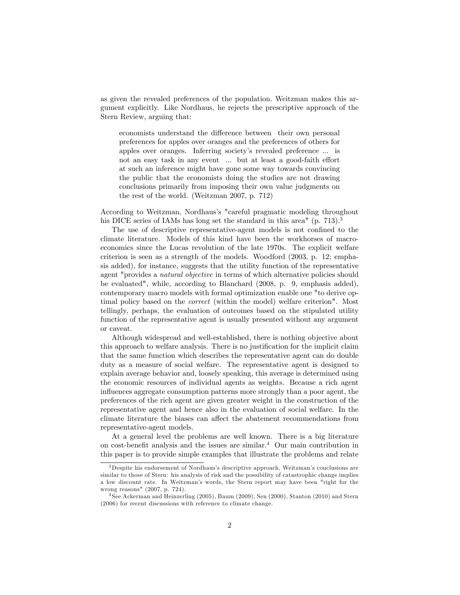as given the revealed preferences of the population. Weitzman makes this argument explicitly. Like Nordhaus, he rejects the prescriptive approach of the Stern Review, arguing that:

economists understand the difference between their own personal preferences for apples over oranges and the preferences of others for apples over oranges. Inferring society's revealed preference ... is not an easy task in any event ... but at least a good-faith effort at such an inference might have gone some way towards convincing the public that the economists doing the studies are not drawing conclusions primarily from imposing their own value judgments on the rest of the world. (Weitzman 2007, p. 712)

According to Weitzman, Nordhausís "careful pragmatic modeling throughout his DICE series of IAMs has long set the standard in this area" (p. 713).<sup>3</sup>

The use of descriptive representative-agent models is not confined to the climate literature. Models of this kind have been the workhorses of macroeconomics since the Lucas revolution of the late 1970s. The explicit welfare criterion is seen as a strength of the models. Woodford (2003, p. 12; emphasis added), for instance, suggests that the utility function of the representative agent "provides a natural objective in terms of which alternative policies should be evaluated", while, according to Blanchard (2008, p. 9, emphasis added), contemporary macro models with formal optimization enable one "to derive optimal policy based on the correct (within the model) welfare criterion". Most tellingly, perhaps, the evaluation of outcomes based on the stipulated utility function of the representative agent is usually presented without any argument or caveat.

Although widespread and well-established, there is nothing objective about this approach to welfare analysis. There is no justification for the implicit claim that the same function which describes the representative agent can do double duty as a measure of social welfare. The representative agent is designed to explain average behavior and, loosely speaking, this average is determined using the economic resources of individual agents as weights. Because a rich agent influences aggregate consumption patterns more strongly than a poor agent, the preferences of the rich agent are given greater weight in the construction of the representative agent and hence also in the evaluation of social welfare. In the climate literature the biases can affect the abatement recommendations from representative-agent models.

At a general level the problems are well known. There is a big literature on cost-benefit analysis and the issues are similar.<sup>4</sup> Our main contribution in this paper is to provide simple examples that illustrate the problems and relate

 $3$ Despite his endorsement of Nordhaus's descriptive approach, Weitzman's conclusions are similar to those of Stern: his analysis of risk and the possibility of catastrophic change implies a low discount rate. In Weitzmanís words, the Stern report may have been "right for the wrong reasons" (2007, p. 724).

 $4\text{See Ackerman}$  and Heinzerling (2005), Baum (2009), Sen (2000), Stanton (2010) and Stern (2006) for recent discussions with reference to climate change.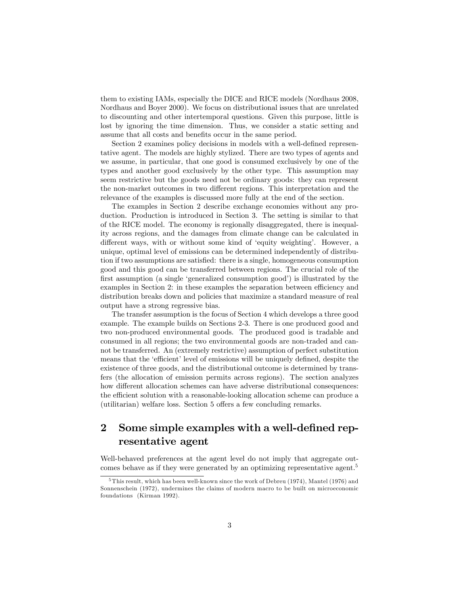them to existing IAMs, especially the DICE and RICE models (Nordhaus 2008, Nordhaus and Boyer 2000). We focus on distributional issues that are unrelated to discounting and other intertemporal questions. Given this purpose, little is lost by ignoring the time dimension. Thus, we consider a static setting and assume that all costs and benefits occur in the same period.

Section 2 examines policy decisions in models with a well-defined representative agent. The models are highly stylized. There are two types of agents and we assume, in particular, that one good is consumed exclusively by one of the types and another good exclusively by the other type. This assumption may seem restrictive but the goods need not be ordinary goods: they can represent the non-market outcomes in two different regions. This interpretation and the relevance of the examples is discussed more fully at the end of the section.

The examples in Section 2 describe exchange economies without any production. Production is introduced in Section 3. The setting is similar to that of the RICE model. The economy is regionally disaggregated, there is inequality across regions, and the damages from climate change can be calculated in different ways, with or without some kind of 'equity weighting'. However, a unique, optimal level of emissions can be determined independently of distribution if two assumptions are satisfied: there is a single, homogeneous consumption good and this good can be transferred between regions. The crucial role of the first assumption (a single 'generalized consumption good') is illustrated by the examples in Section 2: in these examples the separation between efficiency and distribution breaks down and policies that maximize a standard measure of real output have a strong regressive bias.

The transfer assumption is the focus of Section 4 which develops a three good example. The example builds on Sections 2-3. There is one produced good and two non-produced environmental goods. The produced good is tradable and consumed in all regions; the two environmental goods are non-traded and cannot be transferred. An (extremely restrictive) assumption of perfect substitution means that the 'efficient' level of emissions will be uniquely defined, despite the existence of three goods, and the distributional outcome is determined by transfers (the allocation of emission permits across regions). The section analyzes how different allocation schemes can have adverse distributional consequences: the efficient solution with a reasonable-looking allocation scheme can produce a (utilitarian) welfare loss. Section 5 offers a few concluding remarks.

## 2 Some simple examples with a well-defined representative agent

Well-behaved preferences at the agent level do not imply that aggregate outcomes behave as if they were generated by an optimizing representative agent.<sup>5</sup>

<sup>5</sup> This result, which has been well-known since the work of Debreu (1974), Mantel (1976) and Sonnenschein (1972), undermines the claims of modern macro to be built on microeconomic foundations (Kirman 1992).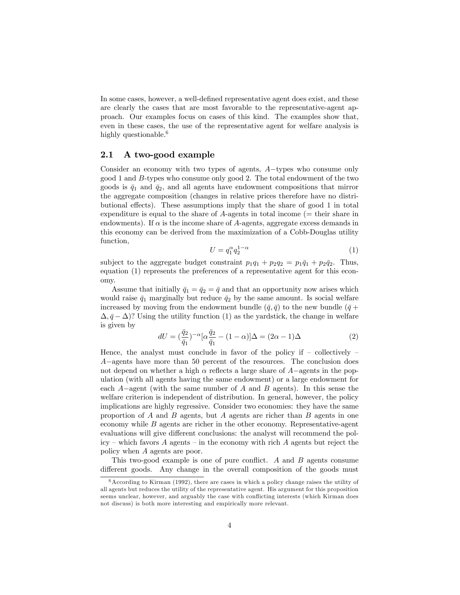In some cases, however, a well-defined representative agent does exist, and these are clearly the cases that are most favorable to the representative-agent approach. Our examples focus on cases of this kind. The examples show that, even in these cases, the use of the representative agent for welfare analysis is highly questionable.<sup>6</sup>

## 2.1 A two-good example

Consider an economy with two types of agents,  $A$ -types who consume only good 1 and B-types who consume only good 2. The total endowment of the two goods is  $\bar{q}_1$  and  $\bar{q}_2$ , and all agents have endowment compositions that mirror the aggregate composition (changes in relative prices therefore have no distributional effects). These assumptions imply that the share of good 1 in total expenditure is equal to the share of  $A$ -agents in total income ( $=$  their share in endowments). If  $\alpha$  is the income share of A-agents, aggregate excess demands in this economy can be derived from the maximization of a Cobb-Douglas utility function,

$$
U = q_1^{\alpha} q_2^{1-\alpha} \tag{1}
$$

subject to the aggregate budget constraint  $p_1q_1 + p_2q_2 = p_1\bar{q}_1 + p_2\bar{q}_2$ . Thus, equation (1) represents the preferences of a representative agent for this economy.

Assume that initially  $\bar{q}_1 = \bar{q}_2 = \bar{q}$  and that an opportunity now arises which would raise  $\bar{q}_1$  marginally but reduce  $\bar{q}_2$  by the same amount. Is social welfare increased by moving from the endowment bundle  $(\bar{q}, \bar{q})$  to the new bundle  $(\bar{q} +$  $(\Delta, \bar{q} - \Delta)$ ? Using the utility function (1) as the yardstick, the change in welfare is given by

$$
dU = \left(\frac{\bar{q}_2}{\bar{q}_1}\right)^{-\alpha} \left[\alpha \frac{\bar{q}_2}{\bar{q}_1} - (1 - \alpha)\right] \Delta = (2\alpha - 1)\Delta \tag{2}
$$

Hence, the analyst must conclude in favor of the policy if  $\sim$  collectively  $\sim$  $A$ -agents have more than 50 percent of the resources. The conclusion does not depend on whether a high  $\alpha$  reflects a large share of A-agents in the population (with all agents having the same endowment) or a large endowment for each  $A$ -agent (with the same number of A and B agents). In this sense the welfare criterion is independent of distribution. In general, however, the policy implications are highly regressive. Consider two economies: they have the same proportion of  $A$  and  $B$  agents, but  $A$  agents are richer than  $B$  agents in one economy while  $B$  agents are richer in the other economy. Representative-agent evaluations will give different conclusions: the analyst will recommend the policy – which favors A agents – in the economy with rich A agents but reject the policy when A agents are poor.

This two-good example is one of pure conflict. A and  $B$  agents consume different goods. Any change in the overall composition of the goods must

 $6$  According to Kirman (1992), there are cases in which a policy change raises the utility of all agents but reduces the utility of the representative agent. His argument for this proposition seems unclear, however, and arguably the case with conflicting interests (which Kirman does not discuss) is both more interesting and empirically more relevant.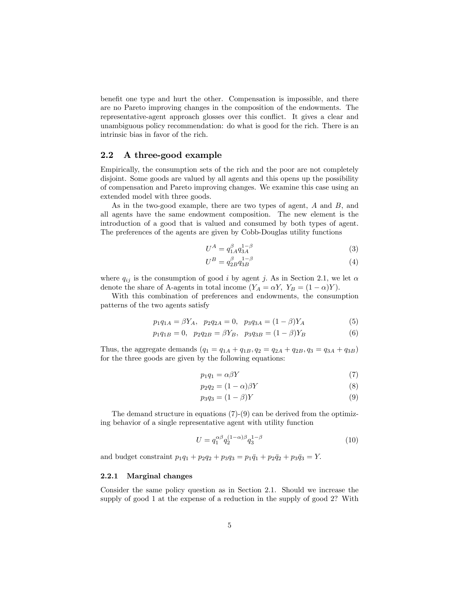benefit one type and hurt the other. Compensation is impossible, and there are no Pareto improving changes in the composition of the endowments. The representative-agent approach glosses over this conflict. It gives a clear and unambiguous policy recommendation: do what is good for the rich. There is an intrinsic bias in favor of the rich.

### 2.2 A three-good example

Empirically, the consumption sets of the rich and the poor are not completely disjoint. Some goods are valued by all agents and this opens up the possibility of compensation and Pareto improving changes. We examine this case using an extended model with three goods.

As in the two-good example, there are two types of agent, A and B, and all agents have the same endowment composition. The new element is the introduction of a good that is valued and consumed by both types of agent. The preferences of the agents are given by Cobb-Douglas utility functions

$$
U^A = q_{1A}^\beta q_{3A}^{1-\beta} \tag{3}
$$

$$
U^B = q_{2B}^{\beta} q_{3B}^{1-\beta} \tag{4}
$$

where  $q_{ij}$  is the consumption of good i by agent j. As in Section 2.1, we let  $\alpha$ denote the share of A-agents in total income  $(Y_A = \alpha Y, Y_B = (1 - \alpha)Y)$ .

With this combination of preferences and endowments, the consumption patterns of the two agents satisfy

$$
p_1 q_{1A} = \beta Y_A, \quad p_2 q_{2A} = 0, \quad p_3 q_{3A} = (1 - \beta) Y_A \tag{5}
$$

$$
p_1 q_{1B} = 0, \quad p_2 q_{2B} = \beta Y_B, \quad p_3 q_{3B} = (1 - \beta) Y_B \tag{6}
$$

Thus, the aggregate demands  $(q_1 = q_{1A} + q_{1B}, q_2 = q_{2A} + q_{2B}, q_3 = q_{3A} + q_{3B})$ for the three goods are given by the following equations:

$$
p_1 q_1 = \alpha \beta Y \tag{7}
$$

$$
p_2 q_2 = (1 - \alpha)\beta Y \tag{8}
$$

$$
p_3 q_3 = (1 - \beta)Y \tag{9}
$$

The demand structure in equations  $(7)-(9)$  can be derived from the optimizing behavior of a single representative agent with utility function

$$
U = q_1^{\alpha\beta} q_2^{(1-\alpha)\beta} q_3^{1-\beta} \tag{10}
$$

and budget constraint  $p_1q_1 + p_2q_2 + p_3q_3 = p_1\bar{q}_1 + p_2\bar{q}_2 + p_3\bar{q}_3 = Y$ .

#### 2.2.1 Marginal changes

Consider the same policy question as in Section 2.1. Should we increase the supply of good 1 at the expense of a reduction in the supply of good 2? With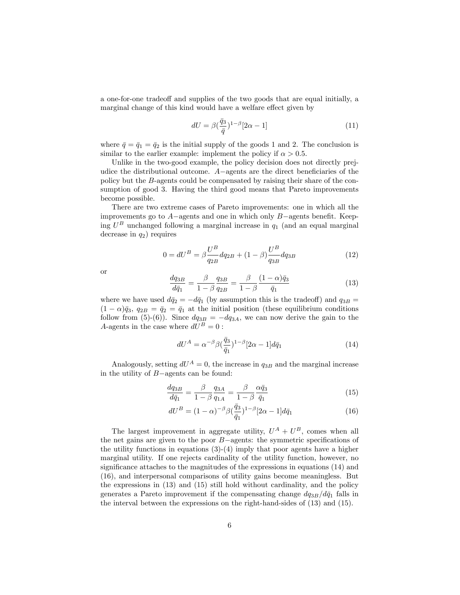a one-for-one tradeoff and supplies of the two goods that are equal initially, a marginal change of this kind would have a welfare effect given by

$$
dU = \beta \left(\frac{\bar{q}_3}{\bar{q}}\right)^{1-\beta} [2\alpha - 1] \tag{11}
$$

where  $\bar{q} = \bar{q}_1 = \bar{q}_2$  is the initial supply of the goods 1 and 2. The conclusion is similar to the earlier example: implement the policy if  $\alpha > 0.5$ .

Unlike in the two-good example, the policy decision does not directly prejudice the distributional outcome.  $A$ -agents are the direct beneficiaries of the policy but the B-agents could be compensated by raising their share of the consumption of good 3. Having the third good means that Pareto improvements become possible.

There are two extreme cases of Pareto improvements: one in which all the improvements go to  $A$ -agents and one in which only  $B$ -agents benefit. Keeping  $U^B$  unchanged following a marginal increase in  $q_1$  (and an equal marginal decrease in  $q_2$ ) requires

$$
0 = dU^B = \beta \frac{U^B}{q_{2B}} dq_{2B} + (1 - \beta) \frac{U^B}{q_{3B}} dq_{3B}
$$
 (12)

or

$$
\frac{dq_{3B}}{d\bar{q}_1} = \frac{\beta}{1-\beta} \frac{q_{3B}}{q_{2B}} = \frac{\beta}{1-\beta} \frac{(1-\alpha)\bar{q}_3}{\bar{q}_1} \tag{13}
$$

where we have used  $d\bar{q}_2 = -d\bar{q}_1$  (by assumption this is the tradeoff) and  $q_{3B} =$  $(1 - \alpha)\bar{q}_3$ ,  $q_{2B} = \bar{q}_2 = \bar{q}_1$  at the initial position (these equilibrium conditions follow from (5)-(6)). Since  $dq_{3B} = -dq_{3A}$ , we can now derive the gain to the A-agents in the case where  $dU^B = 0$ :

$$
dU^{A} = \alpha^{-\beta} \beta \left(\frac{\bar{q}_{3}}{\bar{q}_{1}}\right)^{1-\beta} [2\alpha - 1] d\bar{q}_{1}
$$
\n(14)

Analogously, setting  $dU^A = 0$ , the increase in  $q_{3B}$  and the marginal increase in the utility of  $B$ -agents can be found:

$$
\frac{dq_{3B}}{d\bar{q}_1} = \frac{\beta}{1-\beta} \frac{q_{3A}}{q_{1A}} = \frac{\beta}{1-\beta} \frac{\alpha \bar{q}_3}{\bar{q}_1} \tag{15}
$$

$$
dU^{B} = (1 - \alpha)^{-\beta} \beta \left(\frac{\bar{q}_{3}}{\bar{q}_{1}}\right)^{1-\beta} [2\alpha - 1] d\bar{q}_{1}
$$
\n(16)

The largest improvement in aggregate utility,  $U^A + U^B$ , comes when all the net gains are given to the poor  $B$ -agents: the symmetric specifications of the utility functions in equations  $(3)-(4)$  imply that poor agents have a higher marginal utility. If one rejects cardinality of the utility function, however, no significance attaches to the magnitudes of the expressions in equations  $(14)$  and (16), and interpersonal comparisons of utility gains become meaningless. But the expressions in (13) and (15) still hold without cardinality, and the policy generates a Pareto improvement if the compensating change  $dq_{3B}/d\bar{q}_1$  falls in the interval between the expressions on the right-hand-sides of (13) and (15).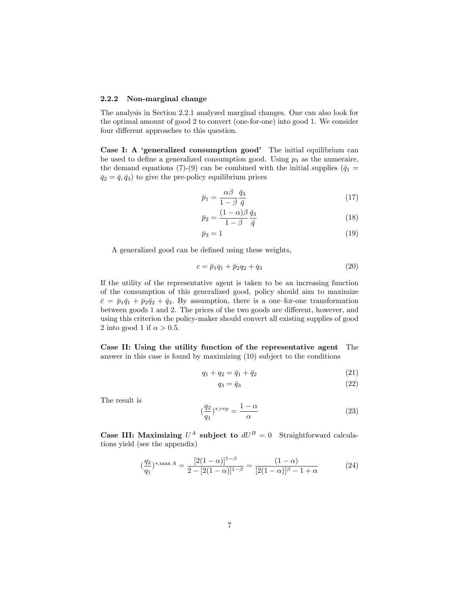#### 2.2.2 Non-marginal change

The analysis in Section 2.2.1 analyzed marginal changes. One can also look for the optimal amount of good 2 to convert (one-for-one) into good 1. We consider four different approaches to this question.

Case I: A 'generalized consumption good' The initial equilibrium can be used to define a generalized consumption good. Using  $p_3$  as the numeraire, the demand equations (7)-(9) can be combined with the initial supplies ( $\bar{q}_1$  =  $\bar{q}_2 = \bar{q}, \bar{q}_3$  to give the pre-policy equilibrium prices

$$
\bar{p}_1 = \frac{\alpha \beta}{1 - \beta} \frac{\bar{q}_3}{\bar{q}} \tag{17}
$$

$$
\bar{p}_2 = \frac{(1 - \alpha)\beta}{1 - \beta} \frac{\bar{q}_3}{\bar{q}}\tag{18}
$$

$$
\bar{p}_3 = 1 \tag{19}
$$

A generalized good can be defined using these weights,

$$
c = \bar{p}_1 q_1 + \bar{p}_2 q_2 + q_3 \tag{20}
$$

If the utility of the representative agent is taken to be an increasing function of the consumption of this generalized good, policy should aim to maximize  $\bar{c} = \bar{p}_1\bar{q}_1 + \bar{p}_2\bar{q}_2 + \bar{q}_3$ . By assumption, there is a one-for-one transformation between goods 1 and 2. The prices of the two goods are different, however, and using this criterion the policy-maker should convert all existing supplies of good 2 into good 1 if  $\alpha > 0.5$ .

Case II: Using the utility function of the representative agent The answer in this case is found by maximizing (10) subject to the conditions

$$
q_1 + q_2 = \bar{q}_1 + \bar{q}_2 \tag{21}
$$

$$
q_3 = \bar{q}_3 \tag{22}
$$

The result is

$$
\left(\frac{q_2}{q_1}\right)^{*, rep} = \frac{1-\alpha}{\alpha} \tag{23}
$$

Case III: Maximizing  $U^A$  subject to  $dU^B = 0$  Straightforward calculations yield (see the appendix)

$$
\left(\frac{q_2}{q_1}\right)^{\ast, \max A} = \frac{[2(1-\alpha)]^{1-\beta}}{2 - [2(1-\alpha)]^{1-\beta}} = \frac{(1-\alpha)}{[2(1-\alpha)]^{\beta} - 1 + \alpha} \tag{24}
$$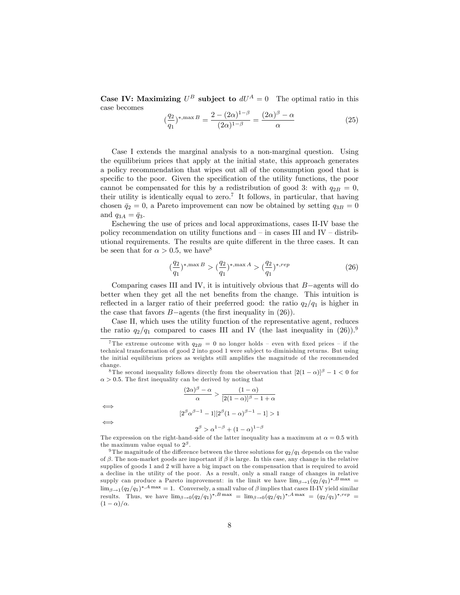Case IV: Maximizing  $U^B$  subject to  $dU^A = 0$  The optimal ratio in this case becomes

$$
\left(\frac{q_2}{q_1}\right)^{\ast, \max B} = \frac{2 - (2\alpha)^{1-\beta}}{(2\alpha)^{1-\beta}} = \frac{(2\alpha)^{\beta} - \alpha}{\alpha} \tag{25}
$$

Case I extends the marginal analysis to a non-marginal question. Using the equilibrium prices that apply at the initial state, this approach generates a policy recommendation that wipes out all of the consumption good that is specific to the poor. Given the specification of the utility functions, the poor cannot be compensated for this by a redistribution of good 3: with  $q_{2B} = 0$ , their utility is identically equal to zero.<sup>7</sup> It follows, in particular, that having chosen  $\bar{q}_2 = 0$ , a Pareto improvement can now be obtained by setting  $q_{3B} = 0$ and  $q_{3A} = \bar{q}_3$ .

Eschewing the use of prices and local approximations, cases II-IV base the policy recommendation on utility functions and  $-\text{in}$  cases III and IV  $-\text{distrib}$ utional requirements. The results are quite different in the three cases. It can be seen that for  $\alpha > 0.5$ , we have<sup>8</sup>

$$
\left(\frac{q_2}{q_1}\right)^{*,\max B} > \left(\frac{q_2}{q_1}\right)^{*,\max A} > \left(\frac{q_2}{q_1}\right)^{*,rep} \tag{26}
$$

Comparing cases III and IV, it is intuitively obvious that  $B$ -agents will do better when they get all the net benefits from the change. This intuition is reflected in a larger ratio of their preferred good: the ratio  $q_2/q_1$  is higher in the case that favors  $B$ -agents (the first inequality in  $(26)$ ).

Case II, which uses the utility function of the representative agent, reduces the ratio  $q_2/q_1$  compared to cases III and IV (the last inequality in  $(26)$ ).<sup>9</sup>

<sup>8</sup>The second inequality follows directly from the observation that  $[2(1-\alpha)]^{\beta} - 1 < 0$  for  $\alpha > 0.5$ . The first inequality can be derived by noting that

$$
\frac{(2\alpha)^{\beta} - \alpha}{\alpha} > \frac{(1 - \alpha)}{[2(1 - \alpha)]^{\beta} - 1 + \alpha}
$$

$$
[2^{\beta}\alpha^{\beta - 1} - 1][2^{\beta}(1 - \alpha)^{\beta - 1} - 1] > 1
$$

$$
\iff
$$

$$
2^{\beta} > \alpha^{1 - \beta} + (1 - \alpha)^{1 - \beta}
$$

The expression on the right-hand-side of the latter inequality has a maximum at  $\alpha = 0.5$  with the maximum value equal to  $2^{\beta}$ .

<sup>9</sup> The magnitude of the difference between the three solutions for  $q_2/q_1$  depends on the value of  $\beta$ . The non-market goods are important if  $\beta$  is large. In this case, any change in the relative supplies of goods 1 and 2 will have a big impact on the compensation that is required to avoid a decline in the utility of the poor. As a result, only a small range of changes in relative supply can produce a Pareto improvement: in the limit we have  $\lim_{\beta \to 1} (q_2/q_1)^{*,B \max} =$  $\lim_{\beta \to 1} (q_2/q_1)^{*,A \max} = 1.$  Conversely, a small value of  $\beta$  implies that cases II-IV yield similar results. Thus, we have  $\lim_{\beta\to 0} (q_2/q_1)^{*,B \max} = \lim_{\beta\to 0} (q_2/q_1)^{*,A \max} = (q_2/q_1)^{*,rep} =$  $(1 - \alpha)/\alpha$ .

<sup>&</sup>lt;sup>7</sup>The extreme outcome with  $q_{2B} = 0$  no longer holds – even with fixed prices – if the technical transformation of good 2 into good 1 were sub ject to diminishing returns. But using the initial equilibrium prices as weights still amplifies the magnitude of the recommended change.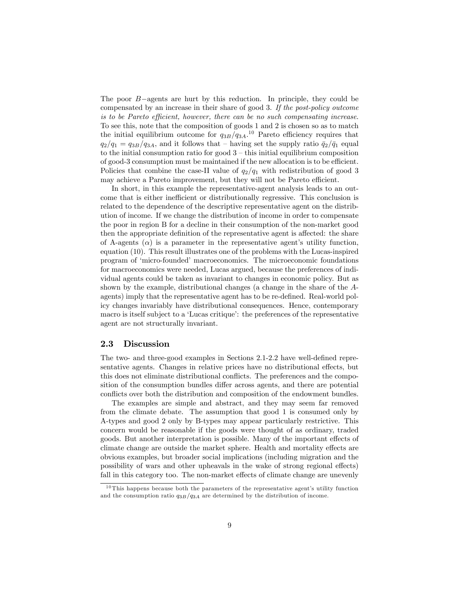The poor  $B$ -agents are hurt by this reduction. In principle, they could be compensated by an increase in their share of good 3. If the post-policy outcome is to be Pareto efficient, however, there can be no such compensating increase. To see this, note that the composition of goods 1 and 2 is chosen so as to match the initial equilibrium outcome for  $q_{3B}/q_{3A}$ .<sup>10</sup> Pareto efficiency requires that  $q_2/q_1 = q_{3B}/q_{3A}$ , and it follows that – having set the supply ratio  $\bar{q}_2/\bar{q}_1$  equal to the initial consumption ratio for good  $3$  – this initial equilibrium composition of good-3 consumption must be maintained if the new allocation is to be efficient. Policies that combine the case-II value of  $q_2/q_1$  with redistribution of good 3 may achieve a Pareto improvement, but they will not be Pareto efficient.

In short, in this example the representative-agent analysis leads to an outcome that is either inefficient or distributionally regressive. This conclusion is related to the dependence of the descriptive representative agent on the distribution of income. If we change the distribution of income in order to compensate the poor in region B for a decline in their consumption of the non-market good then the appropriate definition of the representative agent is affected: the share of A-agents  $(\alpha)$  is a parameter in the representative agent's utility function, equation (10). This result illustrates one of the problems with the Lucas-inspired program of 'micro-founded' macroeconomics. The microeconomic foundations for macroeconomics were needed, Lucas argued, because the preferences of individual agents could be taken as invariant to changes in economic policy. But as shown by the example, distributional changes (a change in the share of the Aagents) imply that the representative agent has to be re-defined. Real-world policy changes invariably have distributional consequences. Hence, contemporary macro is itself subject to a 'Lucas critique': the preferences of the representative agent are not structurally invariant.

#### 2.3 Discussion

The two- and three-good examples in Sections 2.1-2.2 have well-defined representative agents. Changes in relative prices have no distributional effects, but this does not eliminate distributional conflicts. The preferences and the composition of the consumption bundles differ across agents, and there are potential conflicts over both the distribution and composition of the endowment bundles.

The examples are simple and abstract, and they may seem far removed from the climate debate. The assumption that good 1 is consumed only by A-types and good 2 only by B-types may appear particularly restrictive. This concern would be reasonable if the goods were thought of as ordinary, traded goods. But another interpretation is possible. Many of the important effects of climate change are outside the market sphere. Health and mortality effects are obvious examples, but broader social implications (including migration and the possibility of wars and other upheavals in the wake of strong regional effects) fall in this category too. The non-market effects of climate change are unevenly

 $10$  This happens because both the parameters of the representative agent's utility function and the consumption ratio  $q_{3B}/q_{3A}$  are determined by the distribution of income.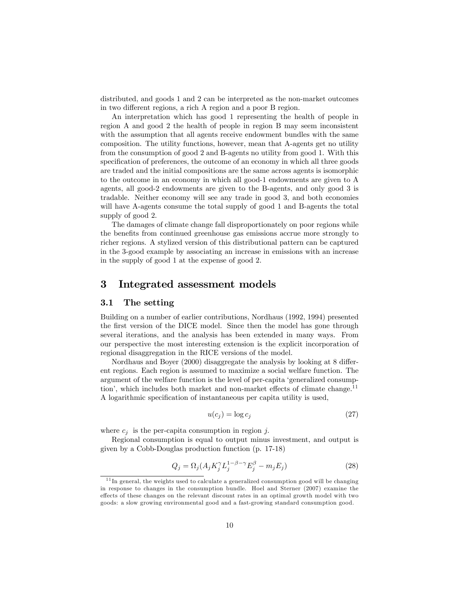distributed, and goods 1 and 2 can be interpreted as the non-market outcomes in two different regions, a rich A region and a poor B region.

An interpretation which has good 1 representing the health of people in region A and good 2 the health of people in region B may seem inconsistent with the assumption that all agents receive endowment bundles with the same composition. The utility functions, however, mean that A-agents get no utility from the consumption of good 2 and B-agents no utility from good 1. With this specification of preferences, the outcome of an economy in which all three goods are traded and the initial compositions are the same across agents is isomorphic to the outcome in an economy in which all good-1 endowments are given to A agents, all good-2 endowments are given to the B-agents, and only good 3 is tradable. Neither economy will see any trade in good 3, and both economies will have A-agents consume the total supply of good 1 and B-agents the total supply of good 2.

The damages of climate change fall disproportionately on poor regions while the benefits from continued greenhouse gas emissions accrue more strongly to richer regions. A stylized version of this distributional pattern can be captured in the 3-good example by associating an increase in emissions with an increase in the supply of good 1 at the expense of good 2.

## 3 Integrated assessment models

#### 3.1 The setting

Building on a number of earlier contributions, Nordhaus (1992, 1994) presented the first version of the DICE model. Since then the model has gone through several iterations, and the analysis has been extended in many ways. From our perspective the most interesting extension is the explicit incorporation of regional disaggregation in the RICE versions of the model.

Nordhaus and Boyer  $(2000)$  disaggregate the analysis by looking at 8 different regions. Each region is assumed to maximize a social welfare function. The argument of the welfare function is the level of per-capita ëgeneralized consumption', which includes both market and non-market effects of climate change.<sup>11</sup> A logarithmic specification of instantaneous per capita utility is used,

$$
u(c_j) = \log c_j \tag{27}
$$

where  $c_i$  is the per-capita consumption in region j.

Regional consumption is equal to output minus investment, and output is given by a Cobb-Douglas production function (p. 17-18)

$$
Q_j = \Omega_j (A_j K_j^{\gamma} L_j^{1-\beta-\gamma} E_j^{\beta} - m_j E_j)
$$
\n(28)

 $11$  In general, the weights used to calculate a generalized consumption good will be changing in response to changes in the consumption bundle. Hoel and Sterner (2007) examine the effects of these changes on the relevant discount rates in an optimal growth model with two goods: a slow growing environmental good and a fast-growing standard consumption good.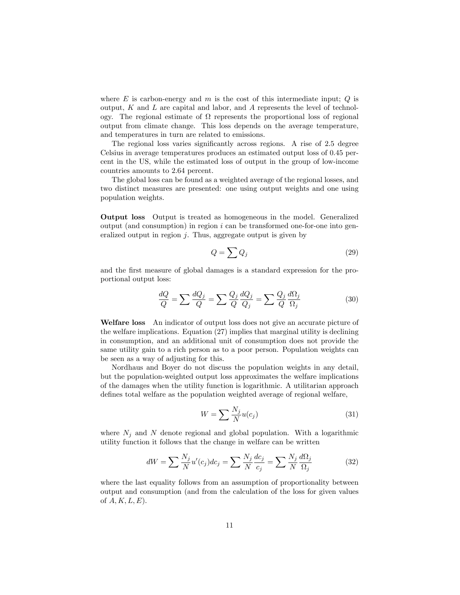where  $E$  is carbon-energy and  $m$  is the cost of this intermediate input;  $Q$  is output,  $K$  and  $L$  are capital and labor, and  $A$  represents the level of technology. The regional estimate of  $\Omega$  represents the proportional loss of regional output from climate change. This loss depends on the average temperature, and temperatures in turn are related to emissions.

The regional loss varies significantly across regions. A rise of 2.5 degree Celsius in average temperatures produces an estimated output loss of 0.45 percent in the US, while the estimated loss of output in the group of low-income countries amounts to 2.64 percent.

The global loss can be found as a weighted average of the regional losses, and two distinct measures are presented: one using output weights and one using population weights.

Output loss Output is treated as homogeneous in the model. Generalized output (and consumption) in region  $i$  can be transformed one-for-one into generalized output in region  $j$ . Thus, aggregate output is given by

$$
Q = \sum Q_j \tag{29}
$$

and the first measure of global damages is a standard expression for the proportional output loss:

$$
\frac{dQ}{Q} = \sum \frac{dQ_j}{Q} = \sum \frac{Q_j}{Q} \frac{dQ_j}{Q_j} = \sum \frac{Q_j}{Q} \frac{d\Omega_j}{\Omega_j}
$$
(30)

Welfare loss An indicator of output loss does not give an accurate picture of the welfare implications. Equation (27) implies that marginal utility is declining in consumption, and an additional unit of consumption does not provide the same utility gain to a rich person as to a poor person. Population weights can be seen as a way of adjusting for this.

Nordhaus and Boyer do not discuss the population weights in any detail, but the population-weighted output loss approximates the welfare implications of the damages when the utility function is logarithmic. A utilitarian approach defines total welfare as the population weighted average of regional welfare,

$$
W = \sum \frac{N_j}{N} u(c_j) \tag{31}
$$

where  $N_j$  and N denote regional and global population. With a logarithmic utility function it follows that the change in welfare can be written

$$
dW = \sum \frac{N_j}{N} u'(c_j) dc_j = \sum \frac{N_j}{N} \frac{dc_j}{c_j} = \sum \frac{N_j}{N} \frac{d\Omega_j}{\Omega_j}
$$
(32)

where the last equality follows from an assumption of proportionality between output and consumption (and from the calculation of the loss for given values of  $A, K, L, E$ ).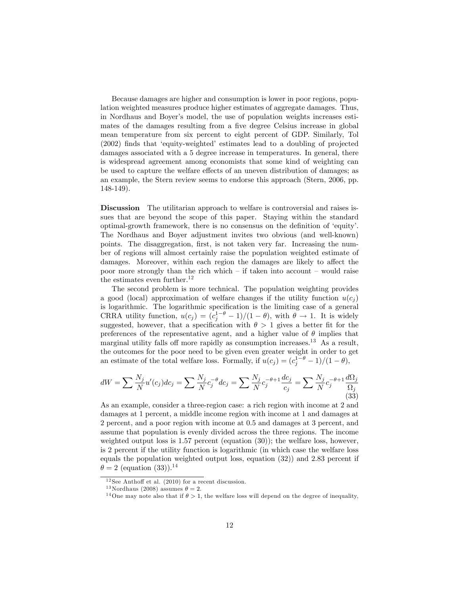Because damages are higher and consumption is lower in poor regions, population weighted measures produce higher estimates of aggregate damages. Thus, in Nordhaus and Boyer's model, the use of population weights increases estimates of the damages resulting from a five degree Celsius increase in global mean temperature from six percent to eight percent of GDP. Similarly, Tol  $(2002)$  finds that 'equity-weighted' estimates lead to a doubling of projected damages associated with a 5 degree increase in temperatures. In general, there is widespread agreement among economists that some kind of weighting can be used to capture the welfare effects of an uneven distribution of damages; as an example, the Stern review seems to endorse this approach (Stern, 2006, pp. 148-149).

Discussion The utilitarian approach to welfare is controversial and raises issues that are beyond the scope of this paper. Staying within the standard optimal-growth framework, there is no consensus on the definition of 'equity'. The Nordhaus and Boyer adjustment invites two obvious (and well-known) points. The disaggregation, first, is not taken very far. Increasing the number of regions will almost certainly raise the population weighted estimate of damages. Moreover, within each region the damages are likely to affect the poor more strongly than the rich which  $\overline{\phantom{a}}$  if taken into account  $\overline{\phantom{a}}$  would raise the estimates even further. $^{12}$ 

The second problem is more technical. The population weighting provides a good (local) approximation of welfare changes if the utility function  $u(c_i)$ is logarithmic. The logarithmic specification is the limiting case of a general CRRA utility function,  $u(c_j) = (c_j^{1-\theta} - 1)/(1-\theta)$ , with  $\theta \to 1$ . It is widely suggested, however, that a specification with  $\theta > 1$  gives a better fit for the preferences of the representative agent, and a higher value of  $\theta$  implies that marginal utility falls off more rapidly as consumption increases.<sup>13</sup> As a result, the outcomes for the poor need to be given even greater weight in order to get an estimate of the total welfare loss. Formally, if  $u(c_j) = (c_j^{1-\theta} - 1)/(1-\theta)$ ,

$$
dW = \sum \frac{N_j}{N} u'(c_j) dc_j = \sum \frac{N_j}{N} c_j^{-\theta} dc_j = \sum \frac{N_j}{N} c_j^{-\theta+1} \frac{dc_j}{c_j} = \sum \frac{N_j}{N} c_j^{-\theta+1} \frac{d\Omega_j}{\Omega_j}
$$
(33)

As an example, consider a three-region case: a rich region with income at 2 and damages at 1 percent, a middle income region with income at 1 and damages at 2 percent, and a poor region with income at 0.5 and damages at 3 percent, and assume that population is evenly divided across the three regions. The income weighted output loss is 1.57 percent (equation (30)); the welfare loss, however, is 2 percent if the utility function is logarithmic (in which case the welfare loss equals the population weighted output loss, equation (32)) and 2.83 percent if  $\theta = 2$  (equation (33)).<sup>14</sup>

 $12$  See Anthoff et al. (2010) for a recent discussion.

<sup>&</sup>lt;sup>13</sup>Nordhaus (2008) assumes  $\theta = 2$ .

<sup>&</sup>lt;sup>14</sup> One may note also that if  $\theta > 1$ , the welfare loss will depend on the degree of inequality,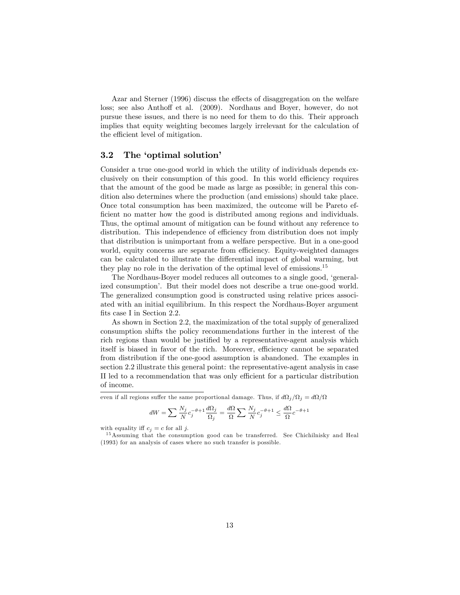Azar and Sterner (1996) discuss the effects of disaggregation on the welfare loss; see also Anthoff et al. (2009). Nordhaus and Boyer, however, do not pursue these issues, and there is no need for them to do this. Their approach implies that equity weighting becomes largely irrelevant for the calculation of the efficient level of mitigation.

#### 3.2 The 'optimal solution'

Consider a true one-good world in which the utility of individuals depends exclusively on their consumption of this good. In this world efficiency requires that the amount of the good be made as large as possible; in general this condition also determines where the production (and emissions) should take place. Once total consumption has been maximized, the outcome will be Pareto efficient no matter how the good is distributed among regions and individuals. Thus, the optimal amount of mitigation can be found without any reference to distribution. This independence of efficiency from distribution does not imply that distribution is unimportant from a welfare perspective. But in a one-good world, equity concerns are separate from efficiency. Equity-weighted damages can be calculated to illustrate the differential impact of global warming, but they play no role in the derivation of the optimal level of emissions.<sup>15</sup>

The Nordhaus-Boyer model reduces all outcomes to a single good, ëgeneralized consumption'. But their model does not describe a true one-good world. The generalized consumption good is constructed using relative prices associated with an initial equilibrium. In this respect the Nordhaus-Boyer argument fits case I in Section 2.2.

As shown in Section 2.2, the maximization of the total supply of generalized consumption shifts the policy recommendations further in the interest of the rich regions than would be justified by a representative-agent analysis which itself is biased in favor of the rich. Moreover, efficiency cannot be separated from distribution if the one-good assumption is abandoned. The examples in section 2.2 illustrate this general point: the representative-agent analysis in case II led to a recommendation that was only efficient for a particular distribution of income.

$$
dW = \sum \frac{N_j}{N} c_j^{-\theta+1} \frac{d\Omega_j}{\Omega_j} = \frac{d\Omega}{\Omega} \sum \frac{N_j}{N} c_j^{-\theta+1} \le \frac{d\Omega}{\Omega} c^{-\theta+1}
$$

with equality iff  $c_i = c$  for all j.

even if all regions suffer the same proportional damage. Thus, if  $d\Omega_j/\Omega_j = d\Omega/\Omega$ 

<sup>&</sup>lt;sup>15</sup> Assuming that the consumption good can be transferred. See Chichilnisky and Heal (1993) for an analysis of cases where no such transfer is possible.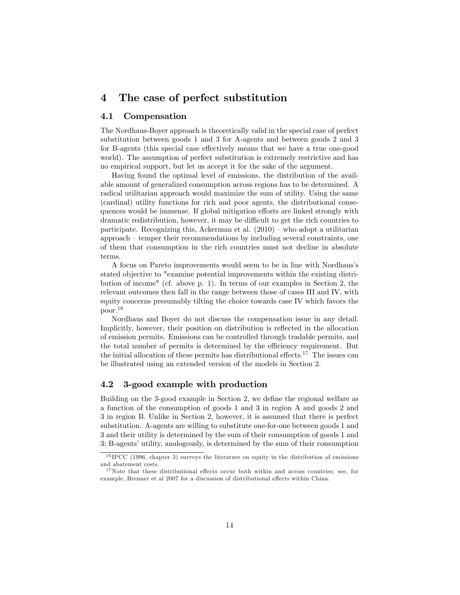## 4 The case of perfect substitution

## 4.1 Compensation

The Nordhaus-Boyer approach is theoretically valid in the special case of perfect substitution between goods 1 and 3 for A-agents and between goods 2 and 3 for B-agents (this special case effectively means that we have a true one-good world). The assumption of perfect substitution is extremely restrictive and has no empirical support, but let us accept it for the sake of the argument.

Having found the optimal level of emissions, the distribution of the available amount of generalized consumption across regions has to be determined. A radical utilitarian approach would maximize the sum of utility. Using the same (cardinal) utility functions for rich and poor agents, the distributional consequences would be immense. If global mitigation efforts are linked strongly with dramatic redistribution, however, it may be difficult to get the rich countries to participate. Recognizing this, Ackerman et al.  $(2010)$  – who adopt a utilitarian  $a$ pproach – temper their recommendations by including several constraints, one of them that consumption in the rich countries must not decline in absolute terms.

A focus on Pareto improvements would seem to be in line with Nordhausís stated objective to "examine potential improvements within the existing distribution of income" (cf. above p. 1). In terms of our examples in Section 2, the relevant outcomes then fall in the range between those of cases III and IV, with equity concerns presumably tilting the choice towards case IV which favors the poor.<sup>16</sup>

Nordhaus and Boyer do not discuss the compensation issue in any detail. Implicitly, however, their position on distribution is reflected in the allocation of emission permits. Emissions can be controlled through tradable permits, and the total number of permits is determined by the efficiency requirement. But the initial allocation of these permits has distributional effects.<sup>17</sup> The issues can be illustrated using an extended version of the models in Section 2.

### 4.2 3-good example with production

Building on the 3-good example in Section 2, we define the regional welfare as a function of the consumption of goods 1 and 3 in region A and goods 2 and 3 in region B. Unlike in Section 2, however, it is assumed that there is perfect substitution. A-agents are willing to substitute one-for-one between goods 1 and 3 and their utility is determined by the sum of their consumption of goods 1 and 3; B-agents' utility, analogously, is determined by the sum of their consumption

 $16 \text{PCC}$  (1996, chapter 3) surveys the literature on equity in the distribution of emissions and abatement costs.

 $17$ Note that these distributional effects occur both within and across countries; see, for example, Brenner et al 2007 for a discussion of distributional effects within China.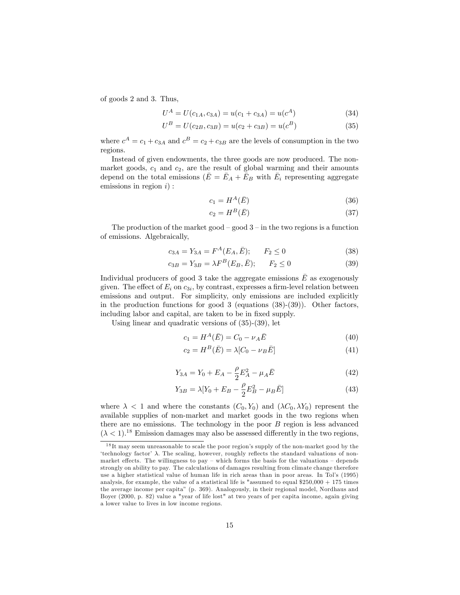of goods 2 and 3. Thus,

$$
U^A = U(c_{1A}, c_{3A}) = u(c_1 + c_{3A}) = u(c^A)
$$
\n(34)

$$
U^B = U(c_{2B}, c_{3B}) = u(c_2 + c_{3B}) = u(c^B)
$$
\n(35)

where  $c^A = c_1 + c_{3A}$  and  $c^B = c_2 + c_{3B}$  are the levels of consumption in the two regions.

Instead of given endowments, the three goods are now produced. The nonmarket goods,  $c_1$  and  $c_2$ , are the result of global warming and their amounts depend on the total emissions  $(\bar{E} = \bar{E}_A + \bar{E}_B$  with  $\bar{E}_i$  representing aggregate emissions in region  $i$ ) :

$$
c_1 = H^A(\bar{E})\tag{36}
$$

$$
c_2 = H^B(\bar{E})\tag{37}
$$

The production of the market good  $-$  good  $3$  – in the two regions is a function of emissions. Algebraically,

$$
c_{3A} = Y_{3A} = F^A(E_A, \bar{E}); \qquad F_2 \le 0 \tag{38}
$$

$$
c_{3B} = Y_{3B} = \lambda F^{B}(E_{B}, \bar{E}); \qquad F_{2} \le 0 \tag{39}
$$

Individual producers of good 3 take the aggregate emissions  $\overline{E}$  as exogenously given. The effect of  $E_i$  on  $c_{3i}$ , by contrast, expresses a firm-level relation between emissions and output. For simplicity, only emissions are included explicitly in the production functions for good 3 (equations (38)-(39)). Other factors, including labor and capital, are taken to be in fixed supply.

Using linear and quadratic versions of (35)-(39), let

$$
c_1 = H^A(\bar{E}) = C_0 - \nu_A \bar{E}
$$
\n(40)

$$
c_2 = H^B(\bar{E}) = \lambda [C_0 - \nu_B \bar{E}] \tag{41}
$$

$$
Y_{3A} = Y_0 + E_A - \frac{\rho}{2} E_A^2 - \mu_A \bar{E}
$$
 (42)

$$
Y_{3B} = \lambda [Y_0 + E_B - \frac{\rho}{2} E_B^2 - \mu_B \bar{E}]
$$
\n(43)

where  $\lambda < 1$  and where the constants  $(C_0, Y_0)$  and  $(\lambda C_0, \lambda Y_0)$  represent the available supplies of non-market and market goods in the two regions when there are no emissions. The technology in the poor  $B$  region is less advanced  $(\lambda < 1).$ <sup>18</sup> Emission damages may also be assessed differently in the two regions,

 $18$  It may seem unreasonable to scale the poor region's supply of the non-market good by the 'technology factor'  $\lambda$ . The scaling, however, roughly reflects the standard valuations of nonmarket effects. The willingness to pay  $-$  which forms the basis for the valuations  $-$  depends strongly on ability to pay. The calculations of damages resulting from climate change therefore use a higher statistical value of human life in rich areas than in poor areas. In Tolís (1995) analysis, for example, the value of a statistical life is "assumed to equal  $$250,000 + 175$  times the average income per capitaî (p. 369). Analogously, in their regional model, Nordhaus and Boyer (2000, p. 82) value a "year of life lost" at two years of per capita income, again giving a lower value to lives in low income regions.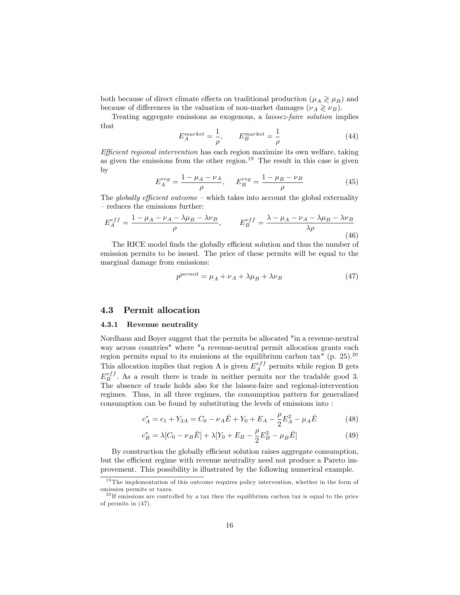both because of direct climate effects on traditional production  $(\mu_A \gtrless \mu_B)$  and because of differences in the valuation of non-market damages  $(\nu_A \geq \nu_B)$ .

Treating aggregate emissions as exogenous, a laissez-faire solution implies that

$$
E_A^{market} = \frac{1}{\rho}, \qquad E_B^{market} = \frac{1}{\rho} \tag{44}
$$

Efficient regional intervention has each region maximize its own welfare, taking as given the emissions from the other region.<sup>19</sup> The result in this case is given by

$$
E_A^{reg} = \frac{1 - \mu_A - \nu_A}{\rho}, \quad E_B^{reg} = \frac{1 - \mu_B - \nu_B}{\rho}
$$
 (45)

The globally efficient outcome  $-\text{which takes into account the global externality}$  $-$  reduces the emissions further:

$$
E_A^{eff} = \frac{1 - \mu_A - \nu_A - \lambda \mu_B - \lambda \nu_B}{\rho}, \qquad E_B^{eff} = \frac{\lambda - \mu_A - \nu_A - \lambda \mu_B - \lambda \nu_B}{\lambda \rho}
$$
(46)

The RICE model finds the globally efficient solution and thus the number of emission permits to be issued. The price of these permits will be equal to the marginal damage from emissions:

$$
p^{permit} = \mu_A + \nu_A + \lambda \mu_B + \lambda \nu_B \tag{47}
$$

## 4.3 Permit allocation

#### 4.3.1 Revenue neutrality

Nordhaus and Boyer suggest that the permits be allocated "in a revenue-neutral way across countries" where "a revenue-neutral permit allocation grants each region permits equal to its emissions at the equilibrium carbon tax" (p. 25).<sup>20</sup> This allocation implies that region A is given  $E_A^{eff}$  permits while region B gets  $E_B^{eff}$ . As a result there is trade in neither permits nor the tradable good 3. The absence of trade holds also for the laissez-faire and regional-intervention regimes. Thus, in all three regimes, the consumption pattern for generalized consumption can be found by substituting the levels of emissions into :

$$
c_A^* = c_1 + Y_{3A} = C_0 - \nu_A \bar{E} + Y_0 + E_A - \frac{\rho}{2} E_A^2 - \mu_A \bar{E}
$$
 (48)

$$
c_B^* = \lambda [C_0 - \nu_B \bar{E}] + \lambda [Y_0 + E_B - \frac{\rho}{2} E_B^2 - \mu_B \bar{E}]
$$
\n(49)

By construction the globally efficient solution raises aggregate consumption, but the efficient regime with revenue neutrality need not produce a Pareto improvement. This possibility is illustrated by the following numerical example.

 $19$  The implementation of this outcome requires policy intervention, whether in the form of emission permits or taxes.

 $^{20}$  If emissions are controlled by a tax then the equilibrium carbon tax is equal to the price of permits in (47).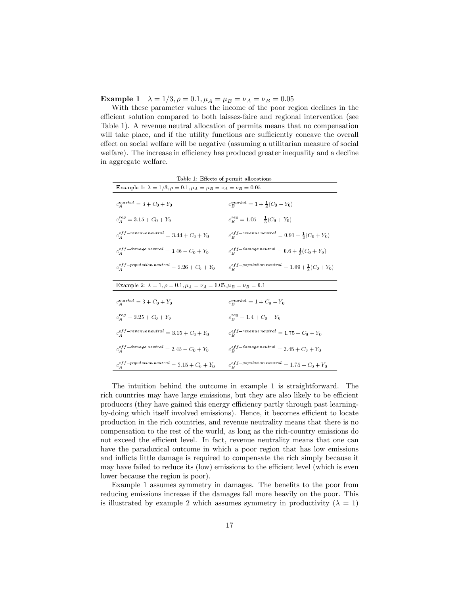**Example 1**  $\lambda = 1/3, \rho = 0.1, \mu_A = \mu_B = \nu_A = \nu_B = 0.05$ 

With these parameter values the income of the poor region declines in the efficient solution compared to both laissez-faire and regional intervention (see Table 1). A revenue neutral allocation of permits means that no compensation will take place, and if the utility functions are sufficiently concave the overall effect on social welfare will be negative (assuming a utilitarian measure of social welfare). The increase in efficiency has produced greater inequality and a decline in aggregate welfare.

| Table 1: Effects of permit allocations                                          |                                                                 |
|---------------------------------------------------------------------------------|-----------------------------------------------------------------|
| Example 1: $\lambda = 1/3, \rho = 0.1, \mu_A = \mu_B = \nu_A = \nu_B = 0.05$    |                                                                 |
| $c_A^{market} = 3 + C_0 + Y_0$                                                  | $c_{D}^{market} = 1 + \frac{1}{2}(C_0 + Y_0)$                   |
| $c_A^{reg} = 3.15 + C_0 + Y_0$                                                  | $c_R^{reg} = 1.05 + \frac{1}{3}(C_0 + Y_0)$                     |
| $c_A^{eff-revenue neutral} = 3.44 + C_0 + Y_0$                                  | $c_{B}^{eff-revenue \ neutral} = 0.91 + \frac{1}{3}(C_0 + Y_0)$ |
| $c_A^{eff-damage\ neutral} = 3.46 + C_0 + Y_0$                                  | $c_B^{eff-damage \ neutral} = 0.6 + \frac{1}{3}(C_0 + Y_0)$     |
| $c_A^{eff-population \ neutral} = 3.26 + C_0 + Y_0$                             | $c_B^{eff-population\ neutral} = 1.09 + \frac{1}{2}(C_0 + Y_0)$ |
| Example 2: $\lambda = 1, \rho = 0.1, \mu_A = \nu_A = 0.05, \mu_B = \nu_B = 0.1$ |                                                                 |
| $c_{A}^{market} = 3 + C_0 + Y_0$                                                | $c_n^{market} = 1 + C_0 + Y_0$                                  |
| $c_A^{reg} = 3.25 + C_0 + Y_0$                                                  | $c_R^{reg} = 1.4 + C_0 + Y_0$                                   |
| $c_A^{eff-revenue neutral} = 3.15 + C_0 + Y_0$                                  | $c_{\rm D}^{eff-revenue\ neutral} = 1.75 + C_0 + Y_0$           |
| $c_A^{eff-damage\ neutral} = 2.45 + C_0 + Y_0$                                  | $c_B^{eff-damage\ neutral} = 2.45 + C_0 + Y_0$                  |
| $c_A^{eff-population\ neutral}=3.15+C_0+Y_0$                                    | $c_B^{eff-population\ neutral}=1.75+C_0+Y_0$                    |

The intuition behind the outcome in example 1 is straightforward. The rich countries may have large emissions, but they are also likely to be efficient producers (they have gained this energy efficiency partly through past learningby-doing which itself involved emissions). Hence, it becomes efficient to locate production in the rich countries, and revenue neutrality means that there is no compensation to the rest of the world, as long as the rich-country emissions do not exceed the efficient level. In fact, revenue neutrality means that one can have the paradoxical outcome in which a poor region that has low emissions and inflicts little damage is required to compensate the rich simply because it may have failed to reduce its (low) emissions to the efficient level (which is even lower because the region is poor).

Example 1 assumes symmetry in damages. The benefits to the poor from reducing emissions increase if the damages fall more heavily on the poor. This is illustrated by example 2 which assumes symmetry in productivity  $(\lambda = 1)$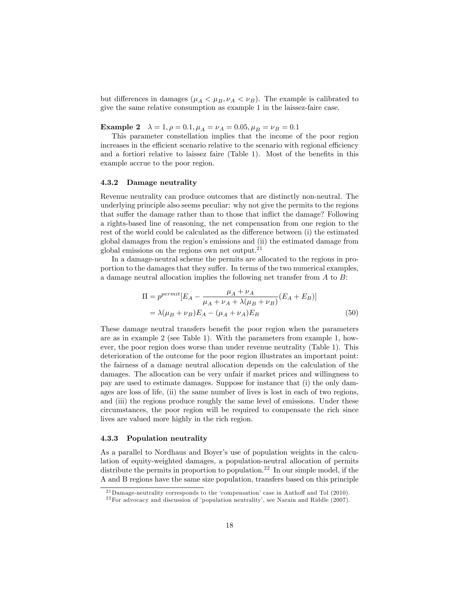but differences in damages  $(\mu_A < \mu_B, \nu_A < \nu_B)$ . The example is calibrated to give the same relative consumption as example 1 in the laissez-faire case.

Example 2  $\lambda = 1, \rho = 0.1, \mu_A = \nu_A = 0.05, \mu_B = \nu_B = 0.1$ 

This parameter constellation implies that the income of the poor region increases in the efficient scenario relative to the scenario with regional efficiency and a fortiori relative to laissez faire  $(Table 1)$ . Most of the benefits in this example accrue to the poor region.

#### 4.3.2 Damage neutrality

Revenue neutrality can produce outcomes that are distinctly non-neutral. The underlying principle also seems peculiar: why not give the permits to the regions that suffer the damage rather than to those that inflict the damage? Following a rights-based line of reasoning, the net compensation from one region to the rest of the world could be calculated as the difference between (i) the estimated global damages from the region's emissions and (ii) the estimated damage from global emissions on the regions own net output.<sup>21</sup>

In a damage-neutral scheme the permits are allocated to the regions in proportion to the damages that they suffer. In terms of the two numerical examples, a damage neutral allocation implies the following net transfer from  $A$  to  $B$ :

$$
\Pi = p^{permit}[E_A - \frac{\mu_A + \nu_A}{\mu_A + \nu_A + \lambda(\mu_B + \nu_B)}(E_A + E_B)]
$$
  
=  $\lambda(\mu_B + \nu_B)E_A - (\mu_A + \nu_A)E_B$  (50)

These damage neutral transfers benefit the poor region when the parameters are as in example 2 (see Table 1). With the parameters from example 1, however, the poor region does worse than under revenue neutrality (Table 1). This deterioration of the outcome for the poor region illustrates an important point: the fairness of a damage neutral allocation depends on the calculation of the damages. The allocation can be very unfair if market prices and willingness to pay are used to estimate damages. Suppose for instance that (i) the only damages are loss of life, (ii) the same number of lives is lost in each of two regions, and (iii) the regions produce roughly the same level of emissions. Under these circumstances, the poor region will be required to compensate the rich since lives are valued more highly in the rich region.

#### 4.3.3 Population neutrality

As a parallel to Nordhaus and Boyer's use of population weights in the calculation of equity-weighted damages, a population-neutral allocation of permits distribute the permits in proportion to population.<sup>22</sup> In our simple model, if the A and B regions have the same size population, transfers based on this principle

 $^{21}$ Damage-neutrality corresponds to the 'compensation' case in Anthoff and Tol (2010).

 $22$  For advocacy and discussion of 'population neutrality', see Narain and Riddle (2007).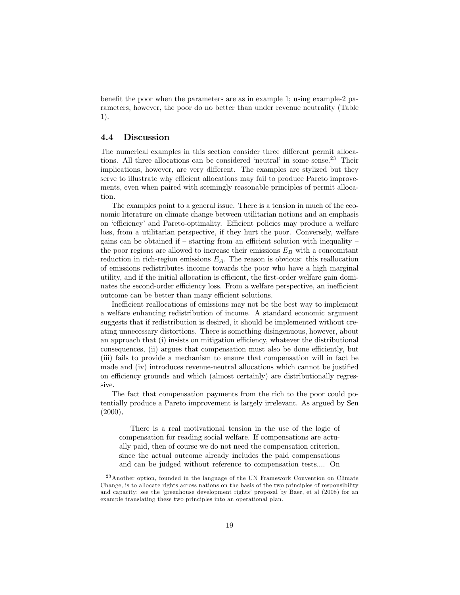benefit the poor when the parameters are as in example 1; using example-2 parameters, however, the poor do no better than under revenue neutrality (Table 1).

### 4.4 Discussion

The numerical examples in this section consider three different permit allocations. All three allocations can be considered 'neutral' in some sense.<sup>23</sup> Their implications, however, are very different. The examples are stylized but they serve to illustrate why efficient allocations may fail to produce Pareto improvements, even when paired with seemingly reasonable principles of permit allocation.

The examples point to a general issue. There is a tension in much of the economic literature on climate change between utilitarian notions and an emphasis on 'efficiency' and Pareto-optimality. Efficient policies may produce a welfare loss, from a utilitarian perspective, if they hurt the poor. Conversely, welfare gains can be obtained if  $\overline{\phantom{a}}$  starting from an efficient solution with inequality  $\overline{\phantom{a}}$ the poor regions are allowed to increase their emissions  $E_B$  with a concomitant reduction in rich-region emissions  $E_A$ . The reason is obvious: this reallocation of emissions redistributes income towards the poor who have a high marginal utility, and if the initial allocation is efficient, the first-order welfare gain dominates the second-order efficiency loss. From a welfare perspective, an inefficient outcome can be better than many efficient solutions.

Inefficient reallocations of emissions may not be the best way to implement a welfare enhancing redistribution of income. A standard economic argument suggests that if redistribution is desired, it should be implemented without creating unnecessary distortions. There is something disingenuous, however, about an approach that  $(i)$  insists on mitigation efficiency, whatever the distributional consequences, (ii) argues that compensation must also be done efficiently, but (iii) fails to provide a mechanism to ensure that compensation will in fact be made and (iv) introduces revenue-neutral allocations which cannot be justified on efficiency grounds and which (almost certainly) are distributionally regressive.

The fact that compensation payments from the rich to the poor could potentially produce a Pareto improvement is largely irrelevant. As argued by Sen (2000),

There is a real motivational tension in the use of the logic of compensation for reading social welfare. If compensations are actually paid, then of course we do not need the compensation criterion, since the actual outcome already includes the paid compensations and can be judged without reference to compensation tests.... On

<sup>2 3</sup>Another option, founded in the language of the UN Framework Convention on Climate Change, is to allocate rights across nations on the basis of the two principles of responsibility and capacity; see the 'greenhouse development rights' proposal by Baer, et al (2008) for an example translating these two principles into an operational plan.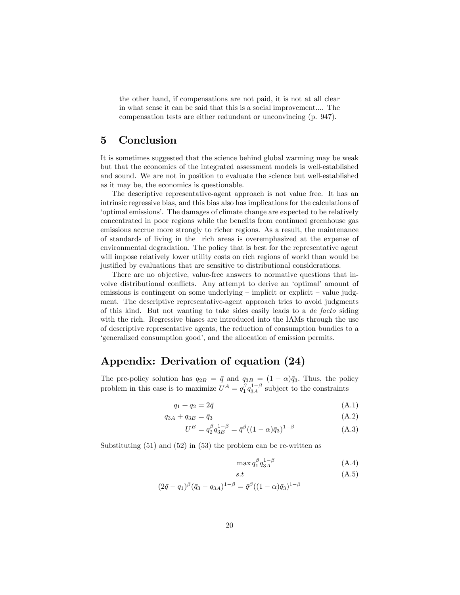the other hand, if compensations are not paid, it is not at all clear in what sense it can be said that this is a social improvement.... The compensation tests are either redundant or unconvincing (p. 947).

## 5 Conclusion

It is sometimes suggested that the science behind global warming may be weak but that the economics of the integrated assessment models is well-established and sound. We are not in position to evaluate the science but well-established as it may be, the economics is questionable.

The descriptive representative-agent approach is not value free. It has an intrinsic regressive bias, and this bias also has implications for the calculations of ëoptimal emissionsí. The damages of climate change are expected to be relatively concentrated in poor regions while the benefits from continued greenhouse gas emissions accrue more strongly to richer regions. As a result, the maintenance of standards of living in the rich areas is overemphasized at the expense of environmental degradation. The policy that is best for the representative agent will impose relatively lower utility costs on rich regions of world than would be justified by evaluations that are sensitive to distributional considerations.

There are no objective, value-free answers to normative questions that involve distributional conflicts. Any attempt to derive an 'optimal' amount of emissions is contingent on some underlying  $-$  implicit or explicit  $-$  value judgment. The descriptive representative-agent approach tries to avoid judgments of this kind. But not wanting to take sides easily leads to a de facto siding with the rich. Regressive biases are introduced into the IAMs through the use of descriptive representative agents, the reduction of consumption bundles to a egeneralized consumption good', and the allocation of emission permits.

## Appendix: Derivation of equation (24)

The pre-policy solution has  $q_{2B} = \bar{q}$  and  $q_{3B} = (1 - \alpha)\bar{q}_3$ . Thus, the policy problem in this case is to maximize  $U^A = q_1^{\beta} q_{3A}^{1-\beta}$  subject to the constraints

$$
q_1 + q_2 = 2\bar{q} \tag{A.1}
$$

$$
q_{3A} + q_{3B} = \bar{q}_3 \tag{A.2}
$$

$$
U^{B} = q_{2}^{\beta} q_{3B}^{1-\beta} = \bar{q}^{\beta} ((1-\alpha)\bar{q}_{3})^{1-\beta}
$$
 (A.3)

Substituting (51) and (52) in (53) the problem can be re-written as

$$
\max q_1^{\beta} q_{3A}^{1-\beta} \tag{A.4}
$$

$$
s.t \t(A.5)
$$

$$
(2\bar{q} - q_1)^{\beta} (\bar{q}_3 - q_{3A})^{1-\beta} = \bar{q}^{\beta} ((1 - \alpha)\bar{q}_3)^{1-\beta}
$$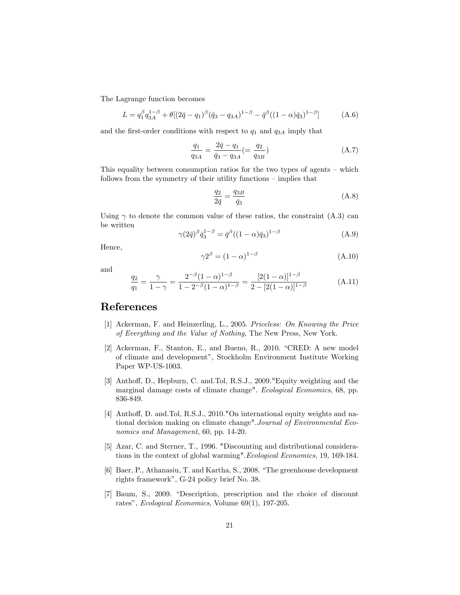The Lagrange function becomes

$$
L = q_1^{\beta} q_{3A}^{1-\beta} + \theta [(2\bar{q} - q_1)^{\beta} (\bar{q}_3 - q_{3A})^{1-\beta} - \bar{q}^{\beta} ((1-\alpha)\bar{q}_3)^{1-\beta}] \tag{A.6}
$$

and the first-order conditions with respect to  $q_1$  and  $q_{3A}$  imply that

$$
\frac{q_1}{q_{3A}} = \frac{2\bar{q} - q_1}{\bar{q}_3 - q_{3A}} (= \frac{q_2}{q_{3B}})
$$
(A.7)

This equality between consumption ratios for the two types of agents  $-$  which follows from the symmetry of their utility functions  $\overline{\phantom{a}}$  implies that

$$
\frac{q_2}{2\bar{q}} = \frac{q_{3B}}{\bar{q}_3} \tag{A.8}
$$

Using  $\gamma$  to denote the common value of these ratios, the constraint (A.3) can be written

$$
\gamma (2\bar{q})^{\beta} \bar{q}_{3}^{1-\beta} = \bar{q}^{\beta} ((1-\alpha)\bar{q}_{3})^{1-\beta}
$$
 (A.9)

Hence,

$$
\gamma 2^{\beta} = (1 - \alpha)^{1 - \beta} \tag{A.10}
$$

and

$$
\frac{q_2}{q_1} = \frac{\gamma}{1 - \gamma} = \frac{2^{-\beta}(1 - \alpha)^{1 - \beta}}{1 - 2^{-\beta}(1 - \alpha)^{1 - \beta}} = \frac{[2(1 - \alpha)]^{1 - \beta}}{2 - [2(1 - \alpha)]^{1 - \beta}}
$$
(A.11)

## References

- [1] Ackerman, F. and Heinzerling, L., 2005. Priceless: On Knowing the Price of Everything and the Value of Nothing, The New Press, New York.
- [2] Ackerman, F., Stanton, E., and Bueno, R., 2010. "CRED: A new model of climate and developmentî, Stockholm Environment Institute Working Paper WP-US-1003.
- [3] Anthoff, D., Hepburn, C. and.Tol, R.S.J., 2009."Equity weighting and the marginal damage costs of climate change". Ecological Economics, 68, pp. 836-849.
- [4] Anthoff, D. and.Tol, R.S.J., 2010."On international equity weights and national decision making on climate change".Journal of Environmental Economics and Management, 60, pp. 14-20.
- [5] Azar, C. and Sterner, T., 1996. "Discounting and distributional considerations in the context of global warming".Ecological Economics, 19, 169-184.
- [6] Baer, P., Athanasiu, T. and Kartha, S., 2008. "The greenhouse development rights framework", G-24 policy brief No. 38.
- [7] Baum, S., 2009. "Description, prescription and the choice of discount rates", Ecological Economics, Volume 69(1), 197-205.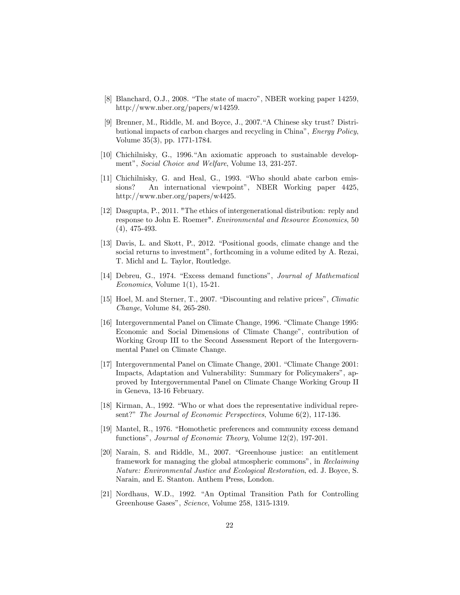- [8] Blanchard, O.J., 2008. "The state of macro", NBER working paper 14259, http://www.nber.org/papers/w14259.
- [9] Brenner, M., Riddle, M. and Boyce, J., 2007."A Chinese sky trust? Distributional impacts of carbon charges and recycling in China", *Energy Policy*, Volume 35(3), pp. 1771-1784.
- $[10]$  Chichilnisky, G., 1996."An axiomatic approach to sustainable development", Social Choice and Welfare, Volume 13, 231-257.
- $[11]$  Chichilnisky, G. and Heal, G., 1993. "Who should abate carbon emissions? An international viewpoint", NBER Working paper 4425, http://www.nber.org/papers/w4425.
- [12] Dasgupta, P., 2011. "The ethics of intergenerational distribution: reply and response to John E. Roemer". Environmental and Resource Economics, 50 (4), 475-493.
- [13] Davis, L. and Skott, P., 2012. "Positional goods, climate change and the social returns to investment", forthcoming in a volume edited by A. Rezai, T. Michl and L. Taylor, Routledge.
- [14] Debreu, G., 1974. "Excess demand functions", Journal of Mathematical Economics, Volume  $1(1)$ , 15-21.
- [15] Hoel, M. and Sterner, T., 2007. "Discounting and relative prices", *Climatic* Change, Volume 84, 265-280.
- [16] Intergovernmental Panel on Climate Change, 1996. "Climate Change 1995: Economic and Social Dimensions of Climate Change", contribution of Working Group III to the Second Assessment Report of the Intergovernmental Panel on Climate Change.
- [17] Intergovernmental Panel on Climate Change, 2001. "Climate Change 2001: Impacts, Adaptation and Vulnerability: Summary for Policymakers<sup>"</sup>, approved by Intergovernmental Panel on Climate Change Working Group II in Geneva, 13-16 February.
- [18] Kirman, A., 1992. "Who or what does the representative individual represent?" The Journal of Economic Perspectives, Volume  $6(2)$ , 117-136.
- [19] Mantel, R., 1976. "Homothetic preferences and community excess demand functions", *Journal of Economic Theory*, Volume 12(2), 197-201.
- [20] Narain, S. and Riddle, M., 2007. "Greenhouse justice: an entitlement framework for managing the global atmospheric commons", in Reclaiming Nature: Environmental Justice and Ecological Restoration, ed. J. Boyce, S. Narain, and E. Stanton. Anthem Press, London.
- [21] Nordhaus, W.D., 1992. "An Optimal Transition Path for Controlling Greenhouse Gases", Science, Volume 258, 1315-1319.